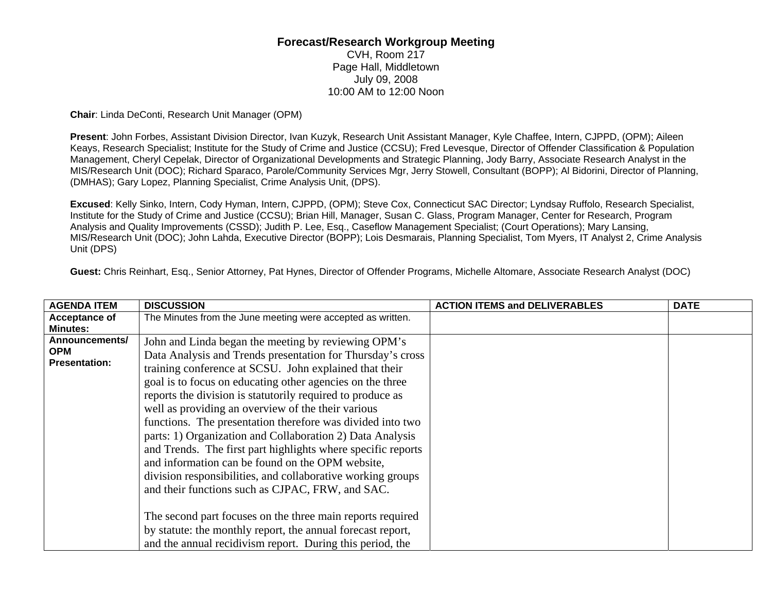## **Forecast/Research Workgroup Meeting**

CVH, Room 217 Page Hall, Middletown July 09, 2008 10:00 AM to 12:00 Noon

**Chair**: Linda DeConti, Research Unit Manager (OPM)

**Present**: John Forbes, Assistant Division Director, Ivan Kuzyk, Research Unit Assistant Manager, Kyle Chaffee, Intern, CJPPD, (OPM); Aileen Keays, Research Specialist; Institute for the Study of Crime and Justice (CCSU); Fred Levesque, Director of Offender Classification & Population Management, Cheryl Cepelak, Director of Organizational Developments and Strategic Planning, Jody Barry, Associate Research Analyst in the MIS/Research Unit (DOC); Richard Sparaco, Parole/Community Services Mgr, Jerry Stowell, Consultant (BOPP); Al Bidorini, Director of Planning, (DMHAS); Gary Lopez, Planning Specialist, Crime Analysis Unit, (DPS).

**Excused**: Kelly Sinko, Intern, Cody Hyman, Intern, CJPPD, (OPM); Steve Cox, Connecticut SAC Director; Lyndsay Ruffolo, Research Specialist, Institute for the Study of Crime and Justice (CCSU); Brian Hill, Manager, Susan C. Glass, Program Manager, Center for Research, Program Analysis and Quality Improvements (CSSD); Judith P. Lee, Esq., Caseflow Management Specialist; (Court Operations); Mary Lansing, MIS/Research Unit (DOC); John Lahda, Executive Director (BOPP); Lois Desmarais, Planning Specialist, Tom Myers, IT Analyst 2, Crime Analysis Unit (DPS)

**Guest:** Chris Reinhart, Esq., Senior Attorney, Pat Hynes, Director of Offender Programs, Michelle Altomare, Associate Research Analyst (DOC)

| <b>AGENDA ITEM</b>                | <b>DISCUSSION</b>                                            | <b>ACTION ITEMS and DELIVERABLES</b> | <b>DATE</b> |
|-----------------------------------|--------------------------------------------------------------|--------------------------------------|-------------|
| Acceptance of                     | The Minutes from the June meeting were accepted as written.  |                                      |             |
| <b>Minutes:</b><br>Announcements/ |                                                              |                                      |             |
| <b>OPM</b>                        | John and Linda began the meeting by reviewing OPM's          |                                      |             |
| <b>Presentation:</b>              | Data Analysis and Trends presentation for Thursday's cross   |                                      |             |
|                                   | training conference at SCSU. John explained that their       |                                      |             |
|                                   | goal is to focus on educating other agencies on the three    |                                      |             |
|                                   | reports the division is statutorily required to produce as   |                                      |             |
|                                   | well as providing an overview of the their various           |                                      |             |
|                                   | functions. The presentation therefore was divided into two   |                                      |             |
|                                   | parts: 1) Organization and Collaboration 2) Data Analysis    |                                      |             |
|                                   | and Trends. The first part highlights where specific reports |                                      |             |
|                                   | and information can be found on the OPM website,             |                                      |             |
|                                   | division responsibilities, and collaborative working groups  |                                      |             |
|                                   | and their functions such as CJPAC, FRW, and SAC.             |                                      |             |
|                                   |                                                              |                                      |             |
|                                   | The second part focuses on the three main reports required   |                                      |             |
|                                   | by statute: the monthly report, the annual forecast report,  |                                      |             |
|                                   | and the annual recidivism report. During this period, the    |                                      |             |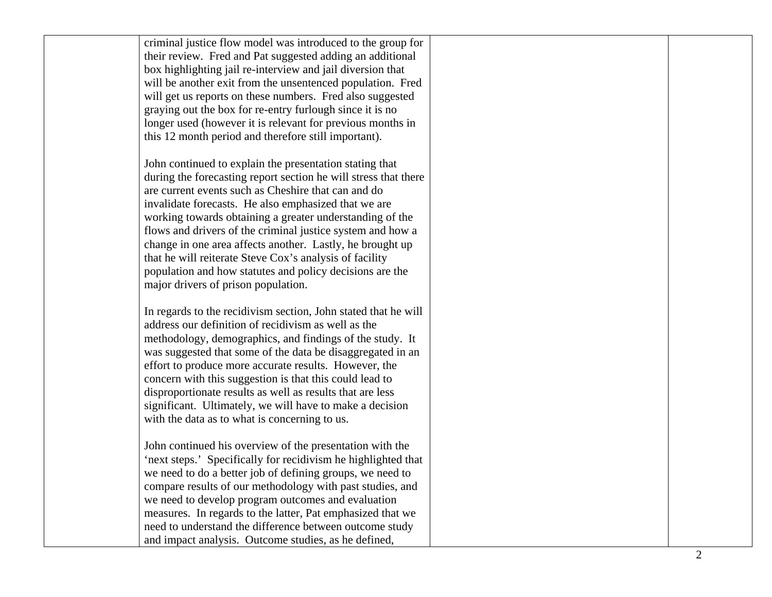| criminal justice flow model was introduced to the group for     |                       |
|-----------------------------------------------------------------|-----------------------|
| their review. Fred and Pat suggested adding an additional       |                       |
| box highlighting jail re-interview and jail diversion that      |                       |
| will be another exit from the unsentenced population. Fred      |                       |
| will get us reports on these numbers. Fred also suggested       |                       |
| graying out the box for re-entry furlough since it is no        |                       |
| longer used (however it is relevant for previous months in      |                       |
| this 12 month period and therefore still important).            |                       |
|                                                                 |                       |
| John continued to explain the presentation stating that         |                       |
| during the forecasting report section he will stress that there |                       |
| are current events such as Cheshire that can and do             |                       |
| invalidate forecasts. He also emphasized that we are            |                       |
| working towards obtaining a greater understanding of the        |                       |
| flows and drivers of the criminal justice system and how a      |                       |
| change in one area affects another. Lastly, he brought up       |                       |
| that he will reiterate Steve Cox's analysis of facility         |                       |
| population and how statutes and policy decisions are the        |                       |
| major drivers of prison population.                             |                       |
|                                                                 |                       |
| In regards to the recidivism section, John stated that he will  |                       |
| address our definition of recidivism as well as the             |                       |
| methodology, demographics, and findings of the study. It        |                       |
| was suggested that some of the data be disaggregated in an      |                       |
| effort to produce more accurate results. However, the           |                       |
| concern with this suggestion is that this could lead to         |                       |
| disproportionate results as well as results that are less       |                       |
| significant. Ultimately, we will have to make a decision        |                       |
| with the data as to what is concerning to us.                   |                       |
|                                                                 |                       |
| John continued his overview of the presentation with the        |                       |
| 'next steps.' Specifically for recidivism he highlighted that   |                       |
| we need to do a better job of defining groups, we need to       |                       |
| compare results of our methodology with past studies, and       |                       |
| we need to develop program outcomes and evaluation              |                       |
| measures. In regards to the latter, Pat emphasized that we      |                       |
| need to understand the difference between outcome study         |                       |
| and impact analysis. Outcome studies, as he defined,            |                       |
|                                                                 | $\mathcal{D}_{\cdot}$ |
|                                                                 |                       |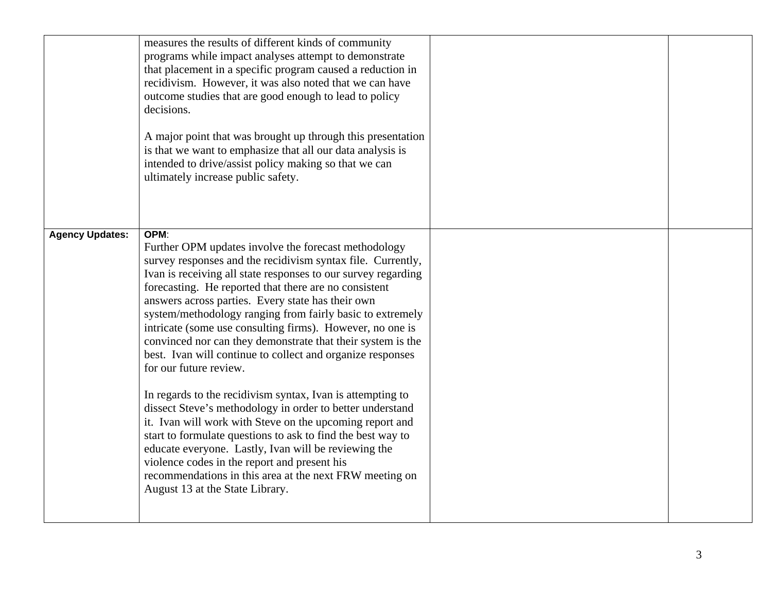|                        | measures the results of different kinds of community<br>programs while impact analyses attempt to demonstrate<br>that placement in a specific program caused a reduction in<br>recidivism. However, it was also noted that we can have<br>outcome studies that are good enough to lead to policy<br>decisions.<br>A major point that was brought up through this presentation<br>is that we want to emphasize that all our data analysis is<br>intended to drive/assist policy making so that we can<br>ultimately increase public safety.                                                                                                                                                                                                                                                                                                                                                                                                                                                                                                              |  |
|------------------------|---------------------------------------------------------------------------------------------------------------------------------------------------------------------------------------------------------------------------------------------------------------------------------------------------------------------------------------------------------------------------------------------------------------------------------------------------------------------------------------------------------------------------------------------------------------------------------------------------------------------------------------------------------------------------------------------------------------------------------------------------------------------------------------------------------------------------------------------------------------------------------------------------------------------------------------------------------------------------------------------------------------------------------------------------------|--|
| <b>Agency Updates:</b> | OPM:<br>Further OPM updates involve the forecast methodology<br>survey responses and the recidivism syntax file. Currently,<br>Ivan is receiving all state responses to our survey regarding<br>forecasting. He reported that there are no consistent<br>answers across parties. Every state has their own<br>system/methodology ranging from fairly basic to extremely<br>intricate (some use consulting firms). However, no one is<br>convinced nor can they demonstrate that their system is the<br>best. Ivan will continue to collect and organize responses<br>for our future review.<br>In regards to the recidivism syntax, Ivan is attempting to<br>dissect Steve's methodology in order to better understand<br>it. Ivan will work with Steve on the upcoming report and<br>start to formulate questions to ask to find the best way to<br>educate everyone. Lastly, Ivan will be reviewing the<br>violence codes in the report and present his<br>recommendations in this area at the next FRW meeting on<br>August 13 at the State Library. |  |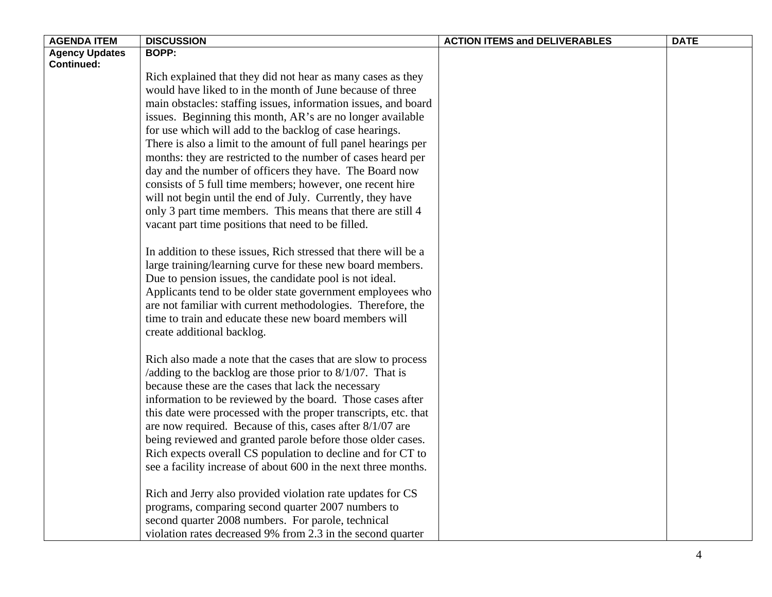| <b>AGENDA ITEM</b>    | <b>DISCUSSION</b>                                               | <b>ACTION ITEMS and DELIVERABLES</b> | <b>DATE</b> |
|-----------------------|-----------------------------------------------------------------|--------------------------------------|-------------|
| <b>Agency Updates</b> | <b>BOPP:</b>                                                    |                                      |             |
| <b>Continued:</b>     |                                                                 |                                      |             |
|                       | Rich explained that they did not hear as many cases as they     |                                      |             |
|                       | would have liked to in the month of June because of three       |                                      |             |
|                       | main obstacles: staffing issues, information issues, and board  |                                      |             |
|                       | issues. Beginning this month, AR's are no longer available      |                                      |             |
|                       | for use which will add to the backlog of case hearings.         |                                      |             |
|                       | There is also a limit to the amount of full panel hearings per  |                                      |             |
|                       | months: they are restricted to the number of cases heard per    |                                      |             |
|                       | day and the number of officers they have. The Board now         |                                      |             |
|                       | consists of 5 full time members; however, one recent hire       |                                      |             |
|                       | will not begin until the end of July. Currently, they have      |                                      |             |
|                       | only 3 part time members. This means that there are still 4     |                                      |             |
|                       | vacant part time positions that need to be filled.              |                                      |             |
|                       |                                                                 |                                      |             |
|                       | In addition to these issues, Rich stressed that there will be a |                                      |             |
|                       | large training/learning curve for these new board members.      |                                      |             |
|                       | Due to pension issues, the candidate pool is not ideal.         |                                      |             |
|                       | Applicants tend to be older state government employees who      |                                      |             |
|                       | are not familiar with current methodologies. Therefore, the     |                                      |             |
|                       | time to train and educate these new board members will          |                                      |             |
|                       | create additional backlog.                                      |                                      |             |
|                       |                                                                 |                                      |             |
|                       | Rich also made a note that the cases that are slow to process   |                                      |             |
|                       | /adding to the backlog are those prior to $8/1/07$ . That is    |                                      |             |
|                       | because these are the cases that lack the necessary             |                                      |             |
|                       | information to be reviewed by the board. Those cases after      |                                      |             |
|                       | this date were processed with the proper transcripts, etc. that |                                      |             |
|                       | are now required. Because of this, cases after 8/1/07 are       |                                      |             |
|                       | being reviewed and granted parole before those older cases.     |                                      |             |
|                       | Rich expects overall CS population to decline and for CT to     |                                      |             |
|                       | see a facility increase of about 600 in the next three months.  |                                      |             |
|                       |                                                                 |                                      |             |
|                       | Rich and Jerry also provided violation rate updates for CS      |                                      |             |
|                       | programs, comparing second quarter 2007 numbers to              |                                      |             |
|                       | second quarter 2008 numbers. For parole, technical              |                                      |             |
|                       | violation rates decreased 9% from 2.3 in the second quarter     |                                      |             |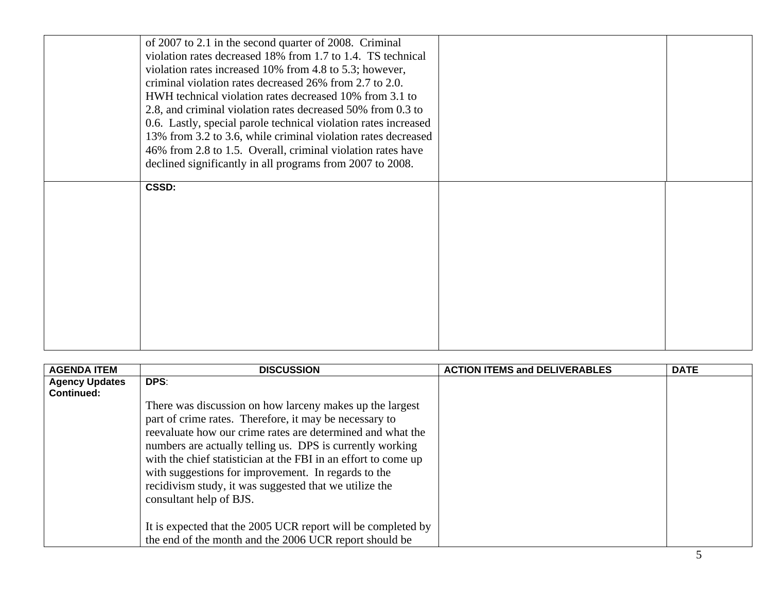| of 2007 to 2.1 in the second quarter of 2008. Criminal<br>violation rates decreased 18% from 1.7 to 1.4. TS technical<br>violation rates increased 10% from 4.8 to 5.3; however,<br>criminal violation rates decreased 26% from 2.7 to 2.0.<br>HWH technical violation rates decreased 10% from 3.1 to<br>2.8, and criminal violation rates decreased 50% from 0.3 to<br>0.6. Lastly, special parole technical violation rates increased<br>13% from 3.2 to 3.6, while criminal violation rates decreased<br>46% from 2.8 to 1.5. Overall, criminal violation rates have<br>declined significantly in all programs from 2007 to 2008. |  |
|---------------------------------------------------------------------------------------------------------------------------------------------------------------------------------------------------------------------------------------------------------------------------------------------------------------------------------------------------------------------------------------------------------------------------------------------------------------------------------------------------------------------------------------------------------------------------------------------------------------------------------------|--|
| CSSD:                                                                                                                                                                                                                                                                                                                                                                                                                                                                                                                                                                                                                                 |  |

| <b>AGENDA ITEM</b>                         | <b>DISCUSSION</b>                                                                                                                                                                                                                                                                                                                                                                                                                                           | <b>ACTION ITEMS and DELIVERABLES</b> | <b>DATE</b> |
|--------------------------------------------|-------------------------------------------------------------------------------------------------------------------------------------------------------------------------------------------------------------------------------------------------------------------------------------------------------------------------------------------------------------------------------------------------------------------------------------------------------------|--------------------------------------|-------------|
| <b>Agency Updates</b><br><b>Continued:</b> | DPS:                                                                                                                                                                                                                                                                                                                                                                                                                                                        |                                      |             |
|                                            | There was discussion on how larceny makes up the largest<br>part of crime rates. Therefore, it may be necessary to<br>reevaluate how our crime rates are determined and what the<br>numbers are actually telling us. DPS is currently working<br>with the chief statistician at the FBI in an effort to come up<br>with suggestions for improvement. In regards to the<br>recidivism study, it was suggested that we utilize the<br>consultant help of BJS. |                                      |             |
|                                            | It is expected that the 2005 UCR report will be completed by<br>the end of the month and the 2006 UCR report should be                                                                                                                                                                                                                                                                                                                                      |                                      |             |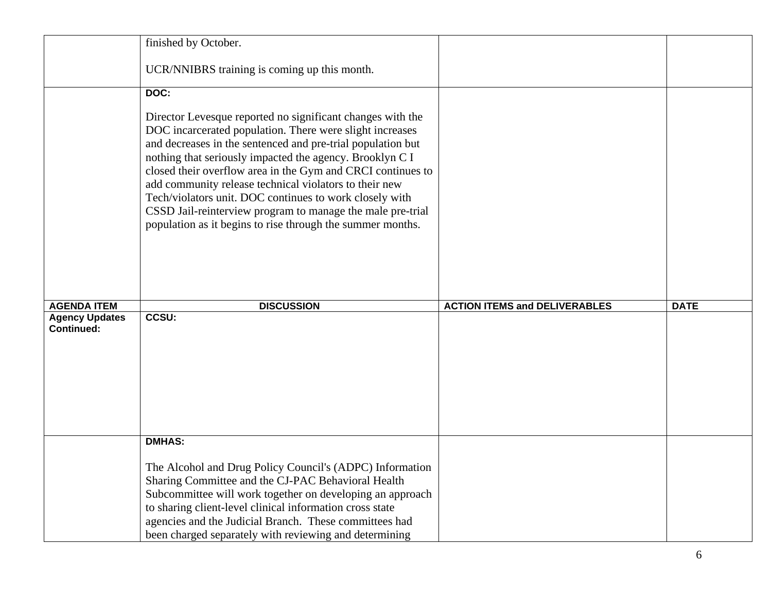|                                            | finished by October.                                                                                                                                                                                                                                                                                                                                                                                                                                                                                                                                              |                                      |             |
|--------------------------------------------|-------------------------------------------------------------------------------------------------------------------------------------------------------------------------------------------------------------------------------------------------------------------------------------------------------------------------------------------------------------------------------------------------------------------------------------------------------------------------------------------------------------------------------------------------------------------|--------------------------------------|-------------|
|                                            | UCR/NNIBRS training is coming up this month.                                                                                                                                                                                                                                                                                                                                                                                                                                                                                                                      |                                      |             |
|                                            | DOC:                                                                                                                                                                                                                                                                                                                                                                                                                                                                                                                                                              |                                      |             |
|                                            | Director Levesque reported no significant changes with the<br>DOC incarcerated population. There were slight increases<br>and decreases in the sentenced and pre-trial population but<br>nothing that seriously impacted the agency. Brooklyn C I<br>closed their overflow area in the Gym and CRCI continues to<br>add community release technical violators to their new<br>Tech/violators unit. DOC continues to work closely with<br>CSSD Jail-reinterview program to manage the male pre-trial<br>population as it begins to rise through the summer months. |                                      |             |
| <b>AGENDA ITEM</b>                         | <b>DISCUSSION</b>                                                                                                                                                                                                                                                                                                                                                                                                                                                                                                                                                 | <b>ACTION ITEMS and DELIVERABLES</b> | <b>DATE</b> |
| <b>Agency Updates</b><br><b>Continued:</b> | <b>CCSU:</b>                                                                                                                                                                                                                                                                                                                                                                                                                                                                                                                                                      |                                      |             |
|                                            |                                                                                                                                                                                                                                                                                                                                                                                                                                                                                                                                                                   |                                      |             |
|                                            | <b>DMHAS:</b><br>The Alcohol and Drug Policy Council's (ADPC) Information<br>Sharing Committee and the CJ-PAC Behavioral Health<br>Subcommittee will work together on developing an approach<br>to sharing client-level clinical information cross state<br>agencies and the Judicial Branch. These committees had                                                                                                                                                                                                                                                |                                      |             |